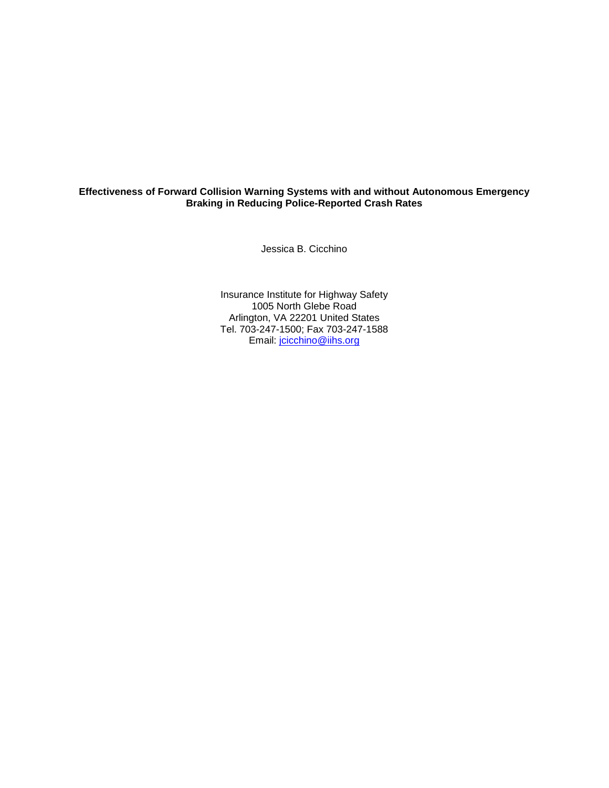# **Effectiveness of Forward Collision Warning Systems with and without Autonomous Emergency Braking in Reducing Police-Reported Crash Rates**

Jessica B. Cicchino

Insurance Institute for Highway Safety 1005 North Glebe Road Arlington, VA 22201 United States Tel. 703-247-1500; Fax 703-247-1588 Email: [jcicchino@iihs.org](mailto:jcicchino@iihs.org)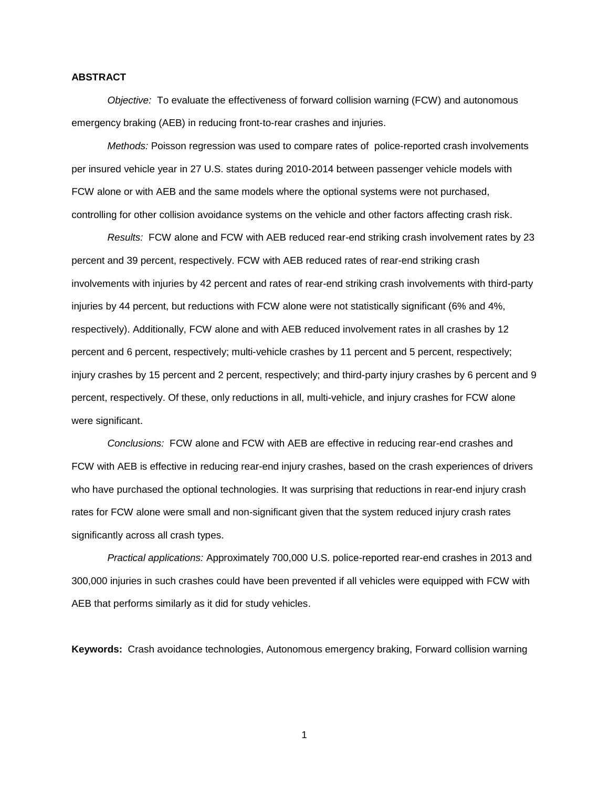# **ABSTRACT**

*Objective:* To evaluate the effectiveness of forward collision warning (FCW) and autonomous emergency braking (AEB) in reducing front-to-rear crashes and injuries.

*Methods:* Poisson regression was used to compare rates of police-reported crash involvements per insured vehicle year in 27 U.S. states during 2010-2014 between passenger vehicle models with FCW alone or with AEB and the same models where the optional systems were not purchased, controlling for other collision avoidance systems on the vehicle and other factors affecting crash risk.

*Results:* FCW alone and FCW with AEB reduced rear-end striking crash involvement rates by 23 percent and 39 percent, respectively. FCW with AEB reduced rates of rear-end striking crash involvements with injuries by 42 percent and rates of rear-end striking crash involvements with third-party injuries by 44 percent, but reductions with FCW alone were not statistically significant (6% and 4%, respectively). Additionally, FCW alone and with AEB reduced involvement rates in all crashes by 12 percent and 6 percent, respectively; multi-vehicle crashes by 11 percent and 5 percent, respectively; injury crashes by 15 percent and 2 percent, respectively; and third-party injury crashes by 6 percent and 9 percent, respectively. Of these, only reductions in all, multi-vehicle, and injury crashes for FCW alone were significant.

*Conclusions:* FCW alone and FCW with AEB are effective in reducing rear-end crashes and FCW with AEB is effective in reducing rear-end injury crashes, based on the crash experiences of drivers who have purchased the optional technologies. It was surprising that reductions in rear-end injury crash rates for FCW alone were small and non-significant given that the system reduced injury crash rates significantly across all crash types.

*Practical applications:* Approximately 700,000 U.S. police-reported rear-end crashes in 2013 and 300,000 injuries in such crashes could have been prevented if all vehicles were equipped with FCW with AEB that performs similarly as it did for study vehicles.

**Keywords:** Crash avoidance technologies, Autonomous emergency braking, Forward collision warning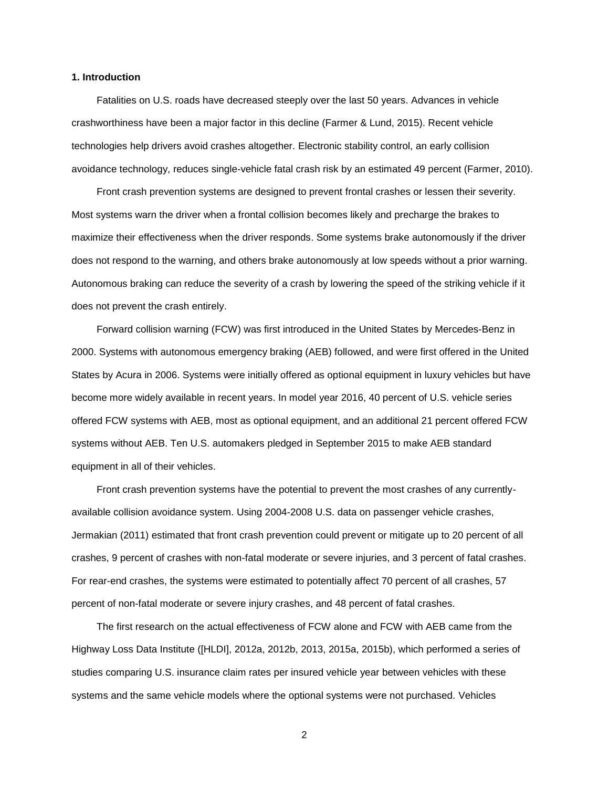# **1. Introduction**

Fatalities on U.S. roads have decreased steeply over the last 50 years. Advances in vehicle crashworthiness have been a major factor in this decline (Farmer & Lund, 2015). Recent vehicle technologies help drivers avoid crashes altogether. Electronic stability control, an early collision avoidance technology, reduces single-vehicle fatal crash risk by an estimated 49 percent (Farmer, 2010).

Front crash prevention systems are designed to prevent frontal crashes or lessen their severity. Most systems warn the driver when a frontal collision becomes likely and precharge the brakes to maximize their effectiveness when the driver responds. Some systems brake autonomously if the driver does not respond to the warning, and others brake autonomously at low speeds without a prior warning. Autonomous braking can reduce the severity of a crash by lowering the speed of the striking vehicle if it does not prevent the crash entirely.

Forward collision warning (FCW) was first introduced in the United States by Mercedes-Benz in 2000. Systems with autonomous emergency braking (AEB) followed, and were first offered in the United States by Acura in 2006. Systems were initially offered as optional equipment in luxury vehicles but have become more widely available in recent years. In model year 2016, 40 percent of U.S. vehicle series offered FCW systems with AEB, most as optional equipment, and an additional 21 percent offered FCW systems without AEB. Ten U.S. automakers pledged in September 2015 to make AEB standard equipment in all of their vehicles.

Front crash prevention systems have the potential to prevent the most crashes of any currentlyavailable collision avoidance system. Using 2004-2008 U.S. data on passenger vehicle crashes, Jermakian (2011) estimated that front crash prevention could prevent or mitigate up to 20 percent of all crashes, 9 percent of crashes with non-fatal moderate or severe injuries, and 3 percent of fatal crashes. For rear-end crashes, the systems were estimated to potentially affect 70 percent of all crashes, 57 percent of non-fatal moderate or severe injury crashes, and 48 percent of fatal crashes.

The first research on the actual effectiveness of FCW alone and FCW with AEB came from the Highway Loss Data Institute ([HLDI], 2012a, 2012b, 2013, 2015a, 2015b), which performed a series of studies comparing U.S. insurance claim rates per insured vehicle year between vehicles with these systems and the same vehicle models where the optional systems were not purchased. Vehicles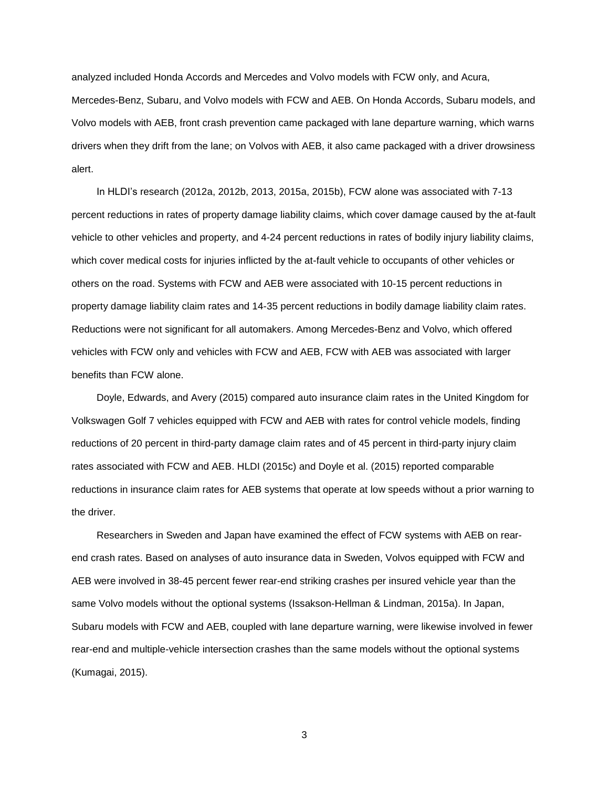analyzed included Honda Accords and Mercedes and Volvo models with FCW only, and Acura,

Mercedes-Benz, Subaru, and Volvo models with FCW and AEB. On Honda Accords, Subaru models, and Volvo models with AEB, front crash prevention came packaged with lane departure warning, which warns drivers when they drift from the lane; on Volvos with AEB, it also came packaged with a driver drowsiness alert.

In HLDI's research (2012a, 2012b, 2013, 2015a, 2015b), FCW alone was associated with 7-13 percent reductions in rates of property damage liability claims, which cover damage caused by the at-fault vehicle to other vehicles and property, and 4-24 percent reductions in rates of bodily injury liability claims, which cover medical costs for injuries inflicted by the at-fault vehicle to occupants of other vehicles or others on the road. Systems with FCW and AEB were associated with 10-15 percent reductions in property damage liability claim rates and 14-35 percent reductions in bodily damage liability claim rates. Reductions were not significant for all automakers. Among Mercedes-Benz and Volvo, which offered vehicles with FCW only and vehicles with FCW and AEB, FCW with AEB was associated with larger benefits than FCW alone.

Doyle, Edwards, and Avery (2015) compared auto insurance claim rates in the United Kingdom for Volkswagen Golf 7 vehicles equipped with FCW and AEB with rates for control vehicle models, finding reductions of 20 percent in third-party damage claim rates and of 45 percent in third-party injury claim rates associated with FCW and AEB. HLDI (2015c) and Doyle et al. (2015) reported comparable reductions in insurance claim rates for AEB systems that operate at low speeds without a prior warning to the driver.

Researchers in Sweden and Japan have examined the effect of FCW systems with AEB on rearend crash rates. Based on analyses of auto insurance data in Sweden, Volvos equipped with FCW and AEB were involved in 38-45 percent fewer rear-end striking crashes per insured vehicle year than the same Volvo models without the optional systems (Issakson-Hellman & Lindman, 2015a). In Japan, Subaru models with FCW and AEB, coupled with lane departure warning, were likewise involved in fewer rear-end and multiple-vehicle intersection crashes than the same models without the optional systems (Kumagai, 2015).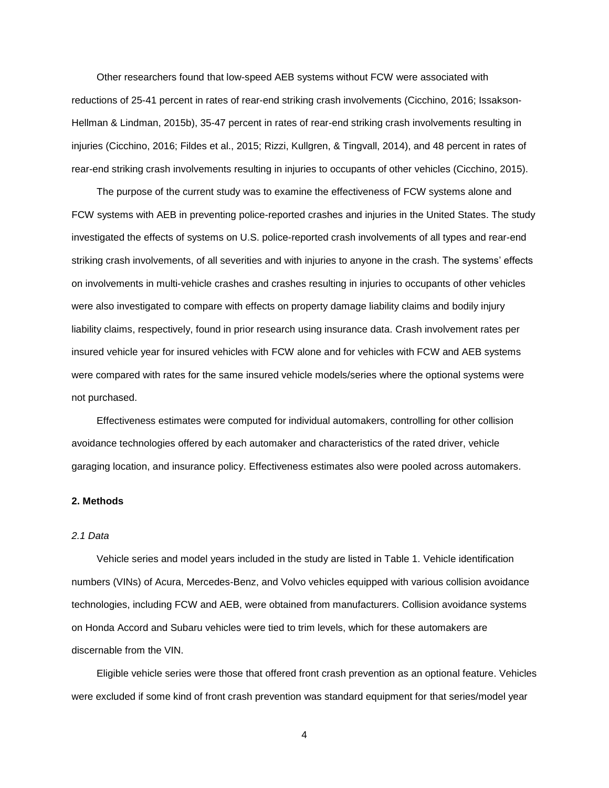Other researchers found that low-speed AEB systems without FCW were associated with reductions of 25-41 percent in rates of rear-end striking crash involvements (Cicchino, 2016; Issakson-Hellman & Lindman, 2015b), 35-47 percent in rates of rear-end striking crash involvements resulting in injuries (Cicchino, 2016; Fildes et al., 2015; Rizzi, Kullgren, & Tingvall, 2014), and 48 percent in rates of rear-end striking crash involvements resulting in injuries to occupants of other vehicles (Cicchino, 2015).

The purpose of the current study was to examine the effectiveness of FCW systems alone and FCW systems with AEB in preventing police-reported crashes and injuries in the United States. The study investigated the effects of systems on U.S. police-reported crash involvements of all types and rear-end striking crash involvements, of all severities and with injuries to anyone in the crash. The systems' effects on involvements in multi-vehicle crashes and crashes resulting in injuries to occupants of other vehicles were also investigated to compare with effects on property damage liability claims and bodily injury liability claims, respectively, found in prior research using insurance data. Crash involvement rates per insured vehicle year for insured vehicles with FCW alone and for vehicles with FCW and AEB systems were compared with rates for the same insured vehicle models/series where the optional systems were not purchased.

Effectiveness estimates were computed for individual automakers, controlling for other collision avoidance technologies offered by each automaker and characteristics of the rated driver, vehicle garaging location, and insurance policy. Effectiveness estimates also were pooled across automakers.

# **2. Methods**

# *2.1 Data*

Vehicle series and model years included in the study are listed in Table 1. Vehicle identification numbers (VINs) of Acura, Mercedes-Benz, and Volvo vehicles equipped with various collision avoidance technologies, including FCW and AEB, were obtained from manufacturers. Collision avoidance systems on Honda Accord and Subaru vehicles were tied to trim levels, which for these automakers are discernable from the VIN.

Eligible vehicle series were those that offered front crash prevention as an optional feature. Vehicles were excluded if some kind of front crash prevention was standard equipment for that series/model year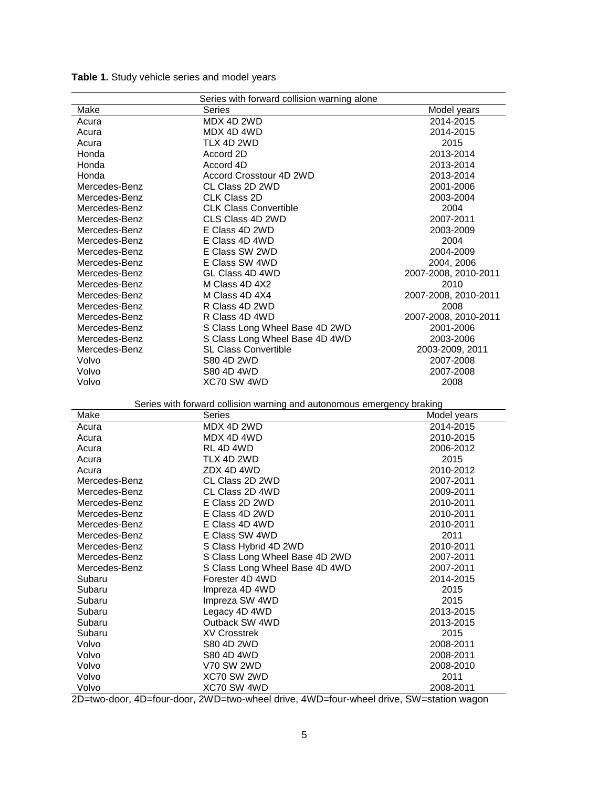| Series with forward collision warning alone |                                                                        |                        |  |  |  |  |
|---------------------------------------------|------------------------------------------------------------------------|------------------------|--|--|--|--|
| Make                                        | Series                                                                 | Model years            |  |  |  |  |
| Acura                                       | MDX 4D 2WD                                                             | 2014-2015              |  |  |  |  |
| Acura                                       | MDX 4D 4WD                                                             | 2014-2015              |  |  |  |  |
| Acura                                       | TLX 4D 2WD                                                             | 2015                   |  |  |  |  |
| Honda                                       | Accord 2D                                                              | 2013-2014              |  |  |  |  |
| Honda                                       | Accord 4D                                                              | 2013-2014              |  |  |  |  |
| Honda                                       | Accord Crosstour 4D 2WD                                                | 2013-2014              |  |  |  |  |
| Mercedes-Benz                               | CL Class 2D 2WD                                                        | 2001-2006              |  |  |  |  |
| Mercedes-Benz                               | <b>CLK Class 2D</b>                                                    | 2003-2004              |  |  |  |  |
| Mercedes-Benz                               | <b>CLK Class Convertible</b>                                           | 2004                   |  |  |  |  |
| Mercedes-Benz                               | CLS Class 4D 2WD                                                       | 2007-2011              |  |  |  |  |
| Mercedes-Benz                               | E Class 4D 2WD                                                         | 2003-2009              |  |  |  |  |
| Mercedes-Benz                               | E Class 4D 4WD                                                         | 2004                   |  |  |  |  |
| Mercedes-Benz                               | E Class SW 2WD                                                         | 2004-2009              |  |  |  |  |
| Mercedes-Benz                               | E Class SW 4WD                                                         | 2004, 2006             |  |  |  |  |
| Mercedes-Benz                               | GL Class 4D 4WD                                                        | 2007-2008, 2010-2011   |  |  |  |  |
| Mercedes-Benz                               | M Class 4D 4X2                                                         | 2010                   |  |  |  |  |
| Mercedes-Benz                               | M Class 4D 4X4                                                         | 2007-2008, 2010-2011   |  |  |  |  |
| Mercedes-Benz                               | R Class 4D 2WD                                                         | 2008                   |  |  |  |  |
| Mercedes-Benz                               | R Class 4D 4WD                                                         | 2007-2008, 2010-2011   |  |  |  |  |
| Mercedes-Benz                               | S Class Long Wheel Base 4D 2WD                                         |                        |  |  |  |  |
| Mercedes-Benz                               | S Class Long Wheel Base 4D 4WD                                         | 2001-2006<br>2003-2006 |  |  |  |  |
| Mercedes-Benz                               | <b>SL Class Convertible</b>                                            | 2003-2009, 2011        |  |  |  |  |
|                                             | S80 4D 2WD                                                             |                        |  |  |  |  |
| Volvo<br>Volvo                              | S80 4D 4WD                                                             | 2007-2008              |  |  |  |  |
| Volvo                                       | XC70 SW 4WD                                                            | 2007-2008              |  |  |  |  |
|                                             |                                                                        | 2008                   |  |  |  |  |
|                                             |                                                                        |                        |  |  |  |  |
|                                             |                                                                        |                        |  |  |  |  |
|                                             | Series with forward collision warning and autonomous emergency braking |                        |  |  |  |  |
| Make                                        | Series                                                                 | Model years            |  |  |  |  |
| Acura                                       | MDX 4D 2WD                                                             | 2014-2015              |  |  |  |  |
| Acura                                       | MDX 4D 4WD                                                             | 2010-2015              |  |  |  |  |
| Acura                                       | RL 4D 4WD                                                              | 2006-2012              |  |  |  |  |
| Acura                                       | TLX 4D 2WD                                                             | 2015                   |  |  |  |  |
| Acura                                       | ZDX 4D 4WD                                                             | 2010-2012              |  |  |  |  |
| Mercedes-Benz                               | CL Class 2D 2WD                                                        | 2007-2011              |  |  |  |  |
| Mercedes-Benz                               | CL Class 2D 4WD                                                        | 2009-2011              |  |  |  |  |
| Mercedes-Benz                               | E Class 2D 2WD                                                         | 2010-2011              |  |  |  |  |
| Mercedes-Benz                               | E Class 4D 2WD                                                         | 2010-2011              |  |  |  |  |
| Mercedes-Benz                               | E Class 4D 4WD                                                         | 2010-2011              |  |  |  |  |
| Mercedes-Benz                               | E Class SW 4WD                                                         | 2011                   |  |  |  |  |
| Mercedes-Benz                               | S Class Hybrid 4D 2WD                                                  | 2010-2011              |  |  |  |  |
| Mercedes-Benz                               | S Class Long Wheel Base 4D 2WD                                         | 2007-2011              |  |  |  |  |
| Mercedes-Benz                               | S Class Long Wheel Base 4D 4WD                                         | 2007-2011              |  |  |  |  |
| Subaru                                      | Forester 4D 4WD                                                        | 2014-2015              |  |  |  |  |
| Subaru                                      | Impreza 4D 4WD                                                         | 2015                   |  |  |  |  |
| Subaru                                      | Impreza SW 4WD                                                         | 2015                   |  |  |  |  |
| Subaru                                      | Legacy 4D 4WD                                                          | 2013-2015              |  |  |  |  |
| Subaru                                      | Outback SW 4WD                                                         | 2013-2015              |  |  |  |  |
| Subaru                                      | <b>XV Crosstrek</b>                                                    | 2015                   |  |  |  |  |
| Volvo                                       | S80 4D 2WD                                                             | 2008-2011              |  |  |  |  |
| Volvo                                       | S80 4D 4WD                                                             | 2008-2011              |  |  |  |  |
| Volvo                                       | <b>V70 SW 2WD</b>                                                      | 2008-2010              |  |  |  |  |
| Volvo<br>Volvo                              | XC70 SW 2WD<br>XC70 SW 4WD                                             | 2011<br>2008-2011      |  |  |  |  |

**Table 1.** Study vehicle series and model years

2D=two-door, 4D=four-door, 2WD=two-wheel drive, 4WD=four-wheel drive, SW=station wagon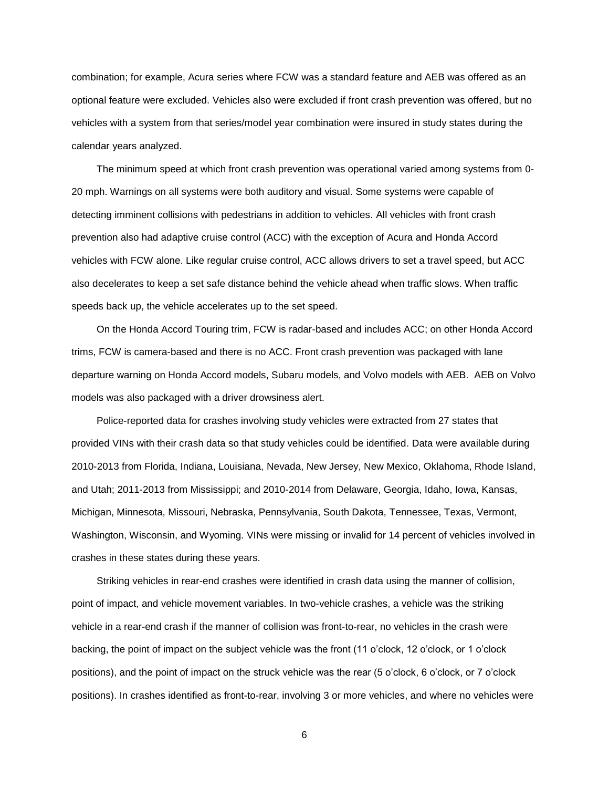combination; for example, Acura series where FCW was a standard feature and AEB was offered as an optional feature were excluded. Vehicles also were excluded if front crash prevention was offered, but no vehicles with a system from that series/model year combination were insured in study states during the calendar years analyzed.

The minimum speed at which front crash prevention was operational varied among systems from 0- 20 mph. Warnings on all systems were both auditory and visual. Some systems were capable of detecting imminent collisions with pedestrians in addition to vehicles. All vehicles with front crash prevention also had adaptive cruise control (ACC) with the exception of Acura and Honda Accord vehicles with FCW alone. Like regular cruise control, ACC allows drivers to set a travel speed, but ACC also decelerates to keep a set safe distance behind the vehicle ahead when traffic slows. When traffic speeds back up, the vehicle accelerates up to the set speed.

On the Honda Accord Touring trim, FCW is radar-based and includes ACC; on other Honda Accord trims, FCW is camera-based and there is no ACC. Front crash prevention was packaged with lane departure warning on Honda Accord models, Subaru models, and Volvo models with AEB. AEB on Volvo models was also packaged with a driver drowsiness alert.

Police-reported data for crashes involving study vehicles were extracted from 27 states that provided VINs with their crash data so that study vehicles could be identified. Data were available during 2010-2013 from Florida, Indiana, Louisiana, Nevada, New Jersey, New Mexico, Oklahoma, Rhode Island, and Utah; 2011-2013 from Mississippi; and 2010-2014 from Delaware, Georgia, Idaho, Iowa, Kansas, Michigan, Minnesota, Missouri, Nebraska, Pennsylvania, South Dakota, Tennessee, Texas, Vermont, Washington, Wisconsin, and Wyoming. VINs were missing or invalid for 14 percent of vehicles involved in crashes in these states during these years.

Striking vehicles in rear-end crashes were identified in crash data using the manner of collision, point of impact, and vehicle movement variables. In two-vehicle crashes, a vehicle was the striking vehicle in a rear-end crash if the manner of collision was front-to-rear, no vehicles in the crash were backing, the point of impact on the subject vehicle was the front (11 o'clock, 12 o'clock, or 1 o'clock positions), and the point of impact on the struck vehicle was the rear (5 o'clock, 6 o'clock, or 7 o'clock positions). In crashes identified as front-to-rear, involving 3 or more vehicles, and where no vehicles were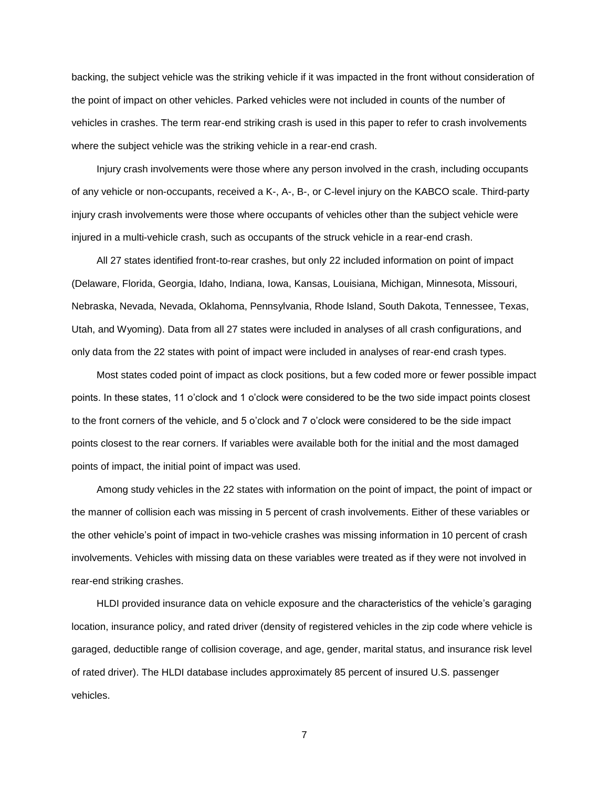backing, the subject vehicle was the striking vehicle if it was impacted in the front without consideration of the point of impact on other vehicles. Parked vehicles were not included in counts of the number of vehicles in crashes. The term rear-end striking crash is used in this paper to refer to crash involvements where the subject vehicle was the striking vehicle in a rear-end crash.

Injury crash involvements were those where any person involved in the crash, including occupants of any vehicle or non-occupants, received a K-, A-, B-, or C-level injury on the KABCO scale. Third-party injury crash involvements were those where occupants of vehicles other than the subject vehicle were injured in a multi-vehicle crash, such as occupants of the struck vehicle in a rear-end crash.

All 27 states identified front-to-rear crashes, but only 22 included information on point of impact (Delaware, Florida, Georgia, Idaho, Indiana, Iowa, Kansas, Louisiana, Michigan, Minnesota, Missouri, Nebraska, Nevada, Nevada, Oklahoma, Pennsylvania, Rhode Island, South Dakota, Tennessee, Texas, Utah, and Wyoming). Data from all 27 states were included in analyses of all crash configurations, and only data from the 22 states with point of impact were included in analyses of rear-end crash types.

Most states coded point of impact as clock positions, but a few coded more or fewer possible impact points. In these states, 11 o'clock and 1 o'clock were considered to be the two side impact points closest to the front corners of the vehicle, and 5 o'clock and 7 o'clock were considered to be the side impact points closest to the rear corners. If variables were available both for the initial and the most damaged points of impact, the initial point of impact was used.

Among study vehicles in the 22 states with information on the point of impact, the point of impact or the manner of collision each was missing in 5 percent of crash involvements. Either of these variables or the other vehicle's point of impact in two-vehicle crashes was missing information in 10 percent of crash involvements. Vehicles with missing data on these variables were treated as if they were not involved in rear-end striking crashes.

HLDI provided insurance data on vehicle exposure and the characteristics of the vehicle's garaging location, insurance policy, and rated driver (density of registered vehicles in the zip code where vehicle is garaged, deductible range of collision coverage, and age, gender, marital status, and insurance risk level of rated driver). The HLDI database includes approximately 85 percent of insured U.S. passenger vehicles.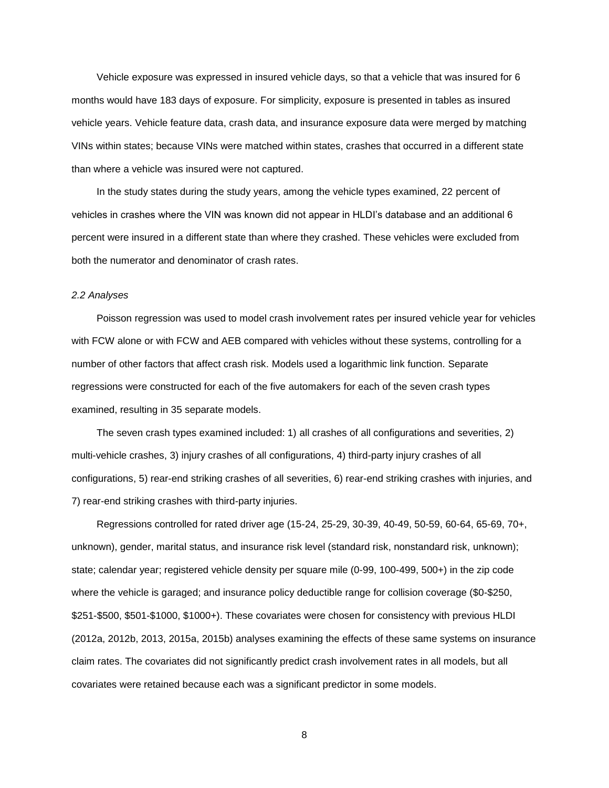Vehicle exposure was expressed in insured vehicle days, so that a vehicle that was insured for 6 months would have 183 days of exposure. For simplicity, exposure is presented in tables as insured vehicle years. Vehicle feature data, crash data, and insurance exposure data were merged by matching VINs within states; because VINs were matched within states, crashes that occurred in a different state than where a vehicle was insured were not captured.

In the study states during the study years, among the vehicle types examined, 22 percent of vehicles in crashes where the VIN was known did not appear in HLDI's database and an additional 6 percent were insured in a different state than where they crashed. These vehicles were excluded from both the numerator and denominator of crash rates.

# *2.2 Analyses*

Poisson regression was used to model crash involvement rates per insured vehicle year for vehicles with FCW alone or with FCW and AEB compared with vehicles without these systems, controlling for a number of other factors that affect crash risk. Models used a logarithmic link function. Separate regressions were constructed for each of the five automakers for each of the seven crash types examined, resulting in 35 separate models.

The seven crash types examined included: 1) all crashes of all configurations and severities, 2) multi-vehicle crashes, 3) injury crashes of all configurations, 4) third-party injury crashes of all configurations, 5) rear-end striking crashes of all severities, 6) rear-end striking crashes with injuries, and 7) rear-end striking crashes with third-party injuries.

Regressions controlled for rated driver age (15-24, 25-29, 30-39, 40-49, 50-59, 60-64, 65-69, 70+, unknown), gender, marital status, and insurance risk level (standard risk, nonstandard risk, unknown); state; calendar year; registered vehicle density per square mile (0-99, 100-499, 500+) in the zip code where the vehicle is garaged; and insurance policy deductible range for collision coverage (\$0-\$250, \$251-\$500, \$501-\$1000, \$1000+). These covariates were chosen for consistency with previous HLDI (2012a, 2012b, 2013, 2015a, 2015b) analyses examining the effects of these same systems on insurance claim rates. The covariates did not significantly predict crash involvement rates in all models, but all covariates were retained because each was a significant predictor in some models.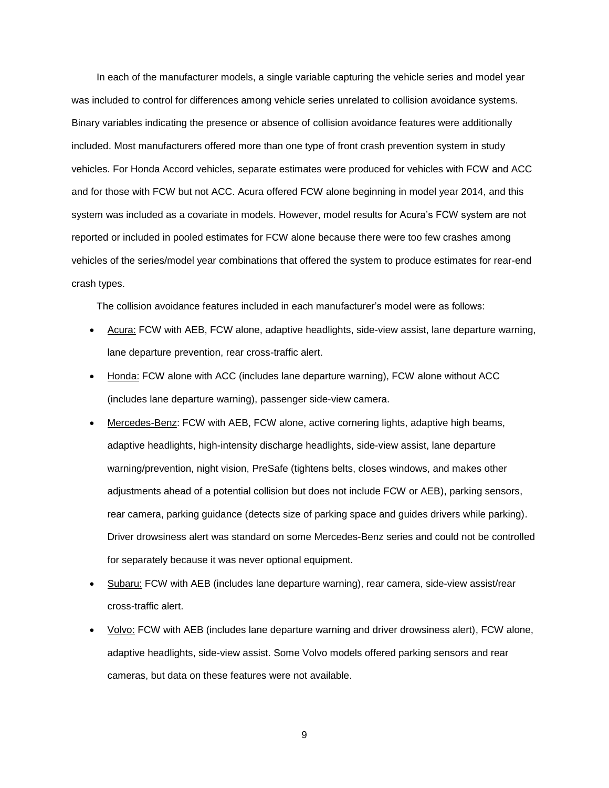In each of the manufacturer models, a single variable capturing the vehicle series and model year was included to control for differences among vehicle series unrelated to collision avoidance systems. Binary variables indicating the presence or absence of collision avoidance features were additionally included. Most manufacturers offered more than one type of front crash prevention system in study vehicles. For Honda Accord vehicles, separate estimates were produced for vehicles with FCW and ACC and for those with FCW but not ACC. Acura offered FCW alone beginning in model year 2014, and this system was included as a covariate in models. However, model results for Acura's FCW system are not reported or included in pooled estimates for FCW alone because there were too few crashes among vehicles of the series/model year combinations that offered the system to produce estimates for rear-end crash types.

The collision avoidance features included in each manufacturer's model were as follows:

- Acura: FCW with AEB, FCW alone, adaptive headlights, side-view assist, lane departure warning, lane departure prevention, rear cross-traffic alert.
- Honda: FCW alone with ACC (includes lane departure warning), FCW alone without ACC (includes lane departure warning), passenger side-view camera.
- Mercedes-Benz: FCW with AEB, FCW alone, active cornering lights, adaptive high beams, adaptive headlights, high-intensity discharge headlights, side-view assist, lane departure warning/prevention, night vision, PreSafe (tightens belts, closes windows, and makes other adjustments ahead of a potential collision but does not include FCW or AEB), parking sensors, rear camera, parking guidance (detects size of parking space and guides drivers while parking). Driver drowsiness alert was standard on some Mercedes-Benz series and could not be controlled for separately because it was never optional equipment.
- Subaru: FCW with AEB (includes lane departure warning), rear camera, side-view assist/rear cross-traffic alert.
- Volvo: FCW with AEB (includes lane departure warning and driver drowsiness alert), FCW alone, adaptive headlights, side-view assist. Some Volvo models offered parking sensors and rear cameras, but data on these features were not available.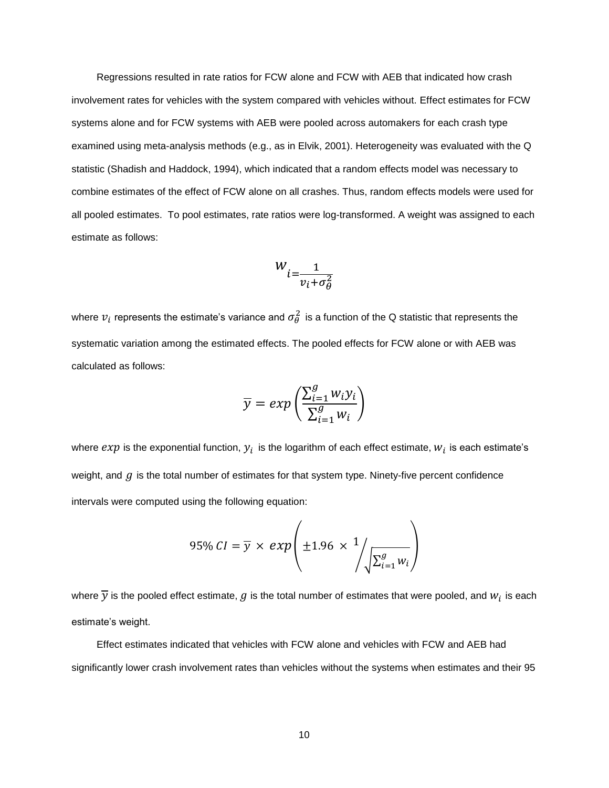Regressions resulted in rate ratios for FCW alone and FCW with AEB that indicated how crash involvement rates for vehicles with the system compared with vehicles without. Effect estimates for FCW systems alone and for FCW systems with AEB were pooled across automakers for each crash type examined using meta-analysis methods (e.g., as in Elvik, 2001). Heterogeneity was evaluated with the Q statistic (Shadish and Haddock, 1994), which indicated that a random effects model was necessary to combine estimates of the effect of FCW alone on all crashes. Thus, random effects models were used for all pooled estimates. To pool estimates, rate ratios were log-transformed. A weight was assigned to each estimate as follows:

$$
W_{i=\frac{1}{v_i+\sigma_\theta^2}}
$$

where  $v_i$  represents the estimate's variance and  $\sigma_{\theta}^2$  is a function of the Q statistic that represents the systematic variation among the estimated effects. The pooled effects for FCW alone or with AEB was calculated as follows:

$$
\overline{y} = exp\left(\frac{\sum_{i=1}^{g} w_i y_i}{\sum_{i=1}^{g} w_i}\right)
$$

where  $exp$  is the exponential function,  $y_i$  is the logarithm of each effect estimate,  $w_i$  is each estimate's weight, and  $g$  is the total number of estimates for that system type. Ninety-five percent confidence intervals were computed using the following equation:

$$
95\% CI = \overline{y} \times exp\left(\pm 1.96 \times \frac{1}{\sqrt{\sum_{i=1}^{g} w_i}}\right)
$$

where  $\overline{y}$  is the pooled effect estimate,  $g$  is the total number of estimates that were pooled, and  $w_i$  is each estimate's weight.

Effect estimates indicated that vehicles with FCW alone and vehicles with FCW and AEB had significantly lower crash involvement rates than vehicles without the systems when estimates and their 95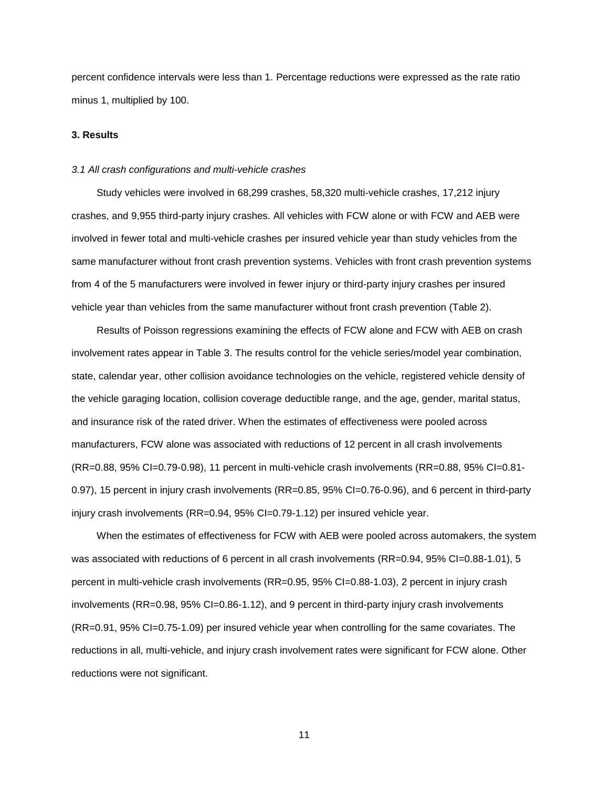percent confidence intervals were less than 1. Percentage reductions were expressed as the rate ratio minus 1, multiplied by 100.

# **3. Results**

### *3.1 All crash configurations and multi-vehicle crashes*

Study vehicles were involved in 68,299 crashes, 58,320 multi-vehicle crashes, 17,212 injury crashes, and 9,955 third-party injury crashes. All vehicles with FCW alone or with FCW and AEB were involved in fewer total and multi-vehicle crashes per insured vehicle year than study vehicles from the same manufacturer without front crash prevention systems. Vehicles with front crash prevention systems from 4 of the 5 manufacturers were involved in fewer injury or third-party injury crashes per insured vehicle year than vehicles from the same manufacturer without front crash prevention (Table 2).

Results of Poisson regressions examining the effects of FCW alone and FCW with AEB on crash involvement rates appear in Table 3. The results control for the vehicle series/model year combination, state, calendar year, other collision avoidance technologies on the vehicle, registered vehicle density of the vehicle garaging location, collision coverage deductible range, and the age, gender, marital status, and insurance risk of the rated driver. When the estimates of effectiveness were pooled across manufacturers, FCW alone was associated with reductions of 12 percent in all crash involvements (RR=0.88, 95% CI=0.79-0.98), 11 percent in multi-vehicle crash involvements (RR=0.88, 95% CI=0.81- 0.97), 15 percent in injury crash involvements (RR=0.85, 95% CI=0.76-0.96), and 6 percent in third-party injury crash involvements (RR=0.94, 95% CI=0.79-1.12) per insured vehicle year.

When the estimates of effectiveness for FCW with AEB were pooled across automakers, the system was associated with reductions of 6 percent in all crash involvements (RR=0.94, 95% CI=0.88-1.01), 5 percent in multi-vehicle crash involvements (RR=0.95, 95% CI=0.88-1.03), 2 percent in injury crash involvements (RR=0.98, 95% CI=0.86-1.12), and 9 percent in third-party injury crash involvements (RR=0.91, 95% CI=0.75-1.09) per insured vehicle year when controlling for the same covariates. The reductions in all, multi-vehicle, and injury crash involvement rates were significant for FCW alone. Other reductions were not significant.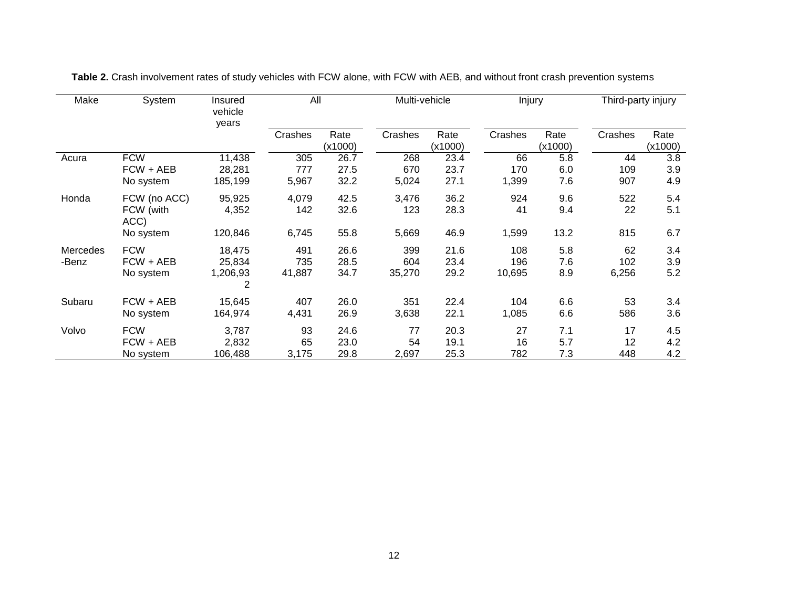| Make<br>System  |                   | Insured<br>vehicle<br>years | All     |         | Multi-vehicle |         | Injury  |         | Third-party injury |         |
|-----------------|-------------------|-----------------------------|---------|---------|---------------|---------|---------|---------|--------------------|---------|
|                 |                   |                             | Crashes | Rate    | Crashes       | Rate    | Crashes | Rate    | Crashes            | Rate    |
|                 |                   |                             |         | (x1000) |               | (x1000) |         | (x1000) |                    | (x1000) |
| Acura           | <b>FCW</b>        | 11,438                      | 305     | 26.7    | 268           | 23.4    | 66      | 5.8     | 44                 | 3.8     |
|                 | FCW + AEB         | 28,281                      | 777     | 27.5    | 670           | 23.7    | 170     | 6.0     | 109                | 3.9     |
|                 | No system         | 185,199                     | 5,967   | 32.2    | 5,024         | 27.1    | 1,399   | 7.6     | 907                | 4.9     |
| Honda           | FCW (no ACC)      | 95,925                      | 4,079   | 42.5    | 3,476         | 36.2    | 924     | 9.6     | 522                | 5.4     |
|                 | FCW (with<br>ACC) | 4,352                       | 142     | 32.6    | 123           | 28.3    | 41      | 9.4     | 22                 | 5.1     |
|                 | No system         | 120,846                     | 6,745   | 55.8    | 5,669         | 46.9    | 1,599   | 13.2    | 815                | 6.7     |
| <b>Mercedes</b> | <b>FCW</b>        | 18,475                      | 491     | 26.6    | 399           | 21.6    | 108     | 5.8     | 62                 | 3.4     |
| -Benz           | FCW + AEB         | 25,834                      | 735     | 28.5    | 604           | 23.4    | 196     | 7.6     | 102                | 3.9     |
|                 | No system         | 1,206,93<br>2               | 41,887  | 34.7    | 35,270        | 29.2    | 10,695  | 8.9     | 6,256              | 5.2     |
| Subaru          | FCW + AEB         | 15,645                      | 407     | 26.0    | 351           | 22.4    | 104     | 6.6     | 53                 | 3.4     |
|                 | No system         | 164,974                     | 4,431   | 26.9    | 3,638         | 22.1    | 1,085   | 6.6     | 586                | 3.6     |
| Volvo           | <b>FCW</b>        | 3,787                       | 93      | 24.6    | 77            | 20.3    | 27      | 7.1     | 17                 | 4.5     |
|                 | FCW + AEB         | 2,832                       | 65      | 23.0    | 54            | 19.1    | 16      | 5.7     | 12                 | 4.2     |
|                 | No system         | 106,488                     | 3,175   | 29.8    | 2,697         | 25.3    | 782     | 7.3     | 448                | 4.2     |

**Table 2.** Crash involvement rates of study vehicles with FCW alone, with FCW with AEB, and without front crash prevention systems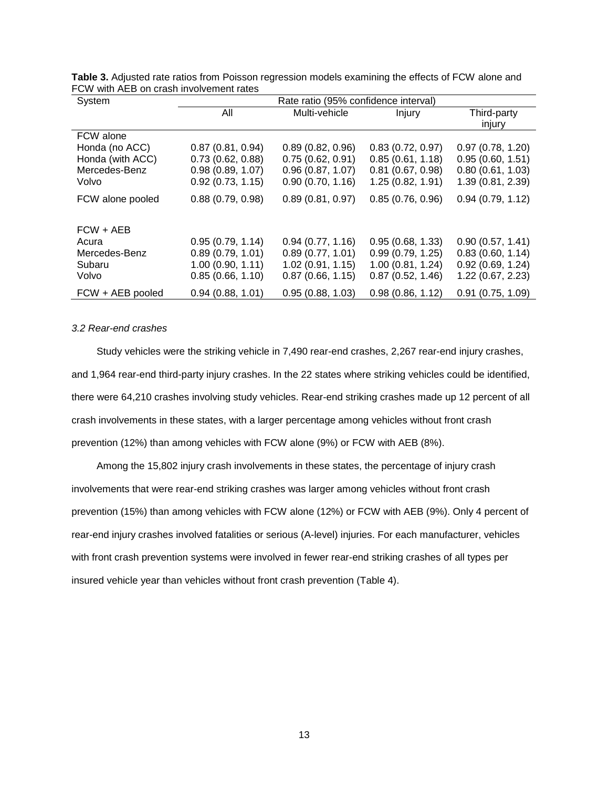| System           | Rate ratio (95% confidence interval) |                  |                     |                   |  |  |
|------------------|--------------------------------------|------------------|---------------------|-------------------|--|--|
|                  | All                                  | Multi-vehicle    | <b>Injury</b>       | Third-party       |  |  |
|                  |                                      |                  |                     | injury            |  |  |
| FCW alone        |                                      |                  |                     |                   |  |  |
| Honda (no ACC)   | 0.87(0.81, 0.94)                     | 0.89(0.82, 0.96) | 0.83(0.72, 0.97)    | 0.97(0.78, 1.20)  |  |  |
| Honda (with ACC) | 0.73(0.62, 0.88)                     | 0.75(0.62, 0.91) | 0.85(0.61, 1.18)    | 0.95(0.60, 1.51)  |  |  |
| Mercedes-Benz    | 0.98(0.89, 1.07)                     | 0.96(0.87, 1.07) | $0.81$ (0.67, 0.98) | 0.80(0.61, 1.03)  |  |  |
| Volvo            | 0.92(0.73, 1.15)                     | 0.90(0.70, 1.16) | 1.25(0.82, 1.91)    | 1.39 (0.81, 2.39) |  |  |
| FCW alone pooled | 0.88(0.79, 0.98)                     | 0.89(0.81, 0.97) | 0.85(0.76, 0.96)    | 0.94(0.79, 1.12)  |  |  |
| FCW + AEB        |                                      |                  |                     |                   |  |  |
| Acura            | 0.95(0.79, 1.14)                     | 0.94(0.77, 1.16) | 0.95(0.68, 1.33)    | 0.90(0.57, 1.41)  |  |  |
| Mercedes-Benz    | 0.89(0.79, 1.01)                     | 0.89(0.77, 1.01) | 0.99(0.79, 1.25)    | 0.83(0.60, 1.14)  |  |  |
| Subaru           | 1.00(0.90, 1.11)                     | 1.02(0.91, 1.15) | 1.00(0.81, 1.24)    | 0.92(0.69, 1.24)  |  |  |
| Volvo            | 0.85(0.66, 1.10)                     | 0.87(0.66, 1.15) | 0.87(0.52, 1.46)    | 1.22 (0.67, 2.23) |  |  |
| FCW + AEB pooled | 0.94(0.88, 1.01)                     | 0.95(0.88, 1.03) | 0.98(0.86, 1.12)    | 0.91(0.75, 1.09)  |  |  |

**Table 3.** Adjusted rate ratios from Poisson regression models examining the effects of FCW alone and FCW with AEB on crash involvement rates

#### *3.2 Rear-end crashes*

Study vehicles were the striking vehicle in 7,490 rear-end crashes, 2,267 rear-end injury crashes, and 1,964 rear-end third-party injury crashes. In the 22 states where striking vehicles could be identified, there were 64,210 crashes involving study vehicles. Rear-end striking crashes made up 12 percent of all crash involvements in these states, with a larger percentage among vehicles without front crash prevention (12%) than among vehicles with FCW alone (9%) or FCW with AEB (8%).

Among the 15,802 injury crash involvements in these states, the percentage of injury crash involvements that were rear-end striking crashes was larger among vehicles without front crash prevention (15%) than among vehicles with FCW alone (12%) or FCW with AEB (9%). Only 4 percent of rear-end injury crashes involved fatalities or serious (A-level) injuries. For each manufacturer, vehicles with front crash prevention systems were involved in fewer rear-end striking crashes of all types per insured vehicle year than vehicles without front crash prevention (Table 4).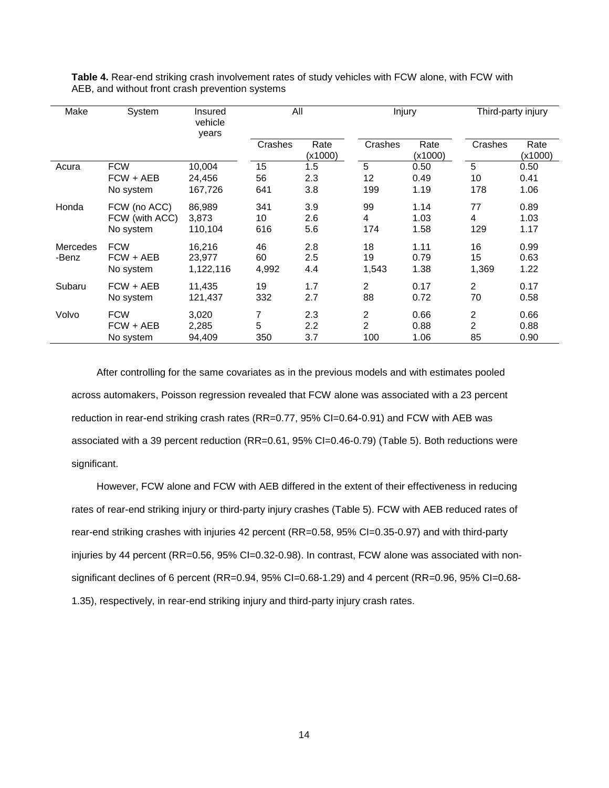| Make              | System                                      | Insured<br>vehicle<br>years   | All               |                   | Injury            |                      | Third-party injury        |                      |  |
|-------------------|---------------------------------------------|-------------------------------|-------------------|-------------------|-------------------|----------------------|---------------------------|----------------------|--|
|                   |                                             |                               | Crashes           | Rate<br>(x1000)   | Crashes           | Rate<br>(x1000)      | Crashes                   | Rate<br>(x1000)      |  |
| Acura             | <b>FCW</b>                                  | 10,004                        | 15                | 1.5               | 5                 | 0.50                 | 5                         | 0.50                 |  |
|                   | FCW + AEB                                   | 24,456                        | 56                | 2.3               | $12 \overline{ }$ | 0.49                 | 10                        | 0.41                 |  |
|                   | No system                                   | 167,726                       | 641               | 3.8               | 199               | 1.19                 | 178                       | 1.06                 |  |
| Honda             | FCW (no ACC)<br>FCW (with ACC)<br>No system | 86,989<br>3,873<br>110,104    | 341<br>10<br>616  | 3.9<br>2.6<br>5.6 | 99<br>4<br>174    | 1.14<br>1.03<br>1.58 | 77<br>4<br>129            | 0.89<br>1.03<br>1.17 |  |
| Mercedes<br>-Benz | <b>FCW</b><br>$FCW + AEB$<br>No system      | 16,216<br>23.977<br>1,122,116 | 46<br>60<br>4,992 | 2.8<br>2.5<br>4.4 | 18<br>19<br>1,543 | 1.11<br>0.79<br>1.38 | 16<br>15<br>1,369         | 0.99<br>0.63<br>1.22 |  |
| Subaru            | FCW + AEB<br>No system                      | 11.435<br>121,437             | 19<br>332         | 1.7<br>2.7        | 2<br>88           | 0.17<br>0.72         | $\overline{2}$<br>70      | 0.17<br>0.58         |  |
| Volvo             | <b>FCW</b><br>$FCW + AEB$<br>No system      | 3,020<br>2,285<br>94,409      | 7<br>5<br>350     | 2.3<br>2.2<br>3.7 | 2<br>2<br>100     | 0.66<br>0.88<br>1.06 | 2<br>$\overline{c}$<br>85 | 0.66<br>0.88<br>0.90 |  |

**Table 4.** Rear-end striking crash involvement rates of study vehicles with FCW alone, with FCW with AEB, and without front crash prevention systems

After controlling for the same covariates as in the previous models and with estimates pooled across automakers, Poisson regression revealed that FCW alone was associated with a 23 percent reduction in rear-end striking crash rates (RR=0.77, 95% CI=0.64-0.91) and FCW with AEB was associated with a 39 percent reduction (RR=0.61, 95% CI=0.46-0.79) (Table 5). Both reductions were significant.

However, FCW alone and FCW with AEB differed in the extent of their effectiveness in reducing rates of rear-end striking injury or third-party injury crashes (Table 5). FCW with AEB reduced rates of rear-end striking crashes with injuries 42 percent (RR=0.58, 95% CI=0.35-0.97) and with third-party injuries by 44 percent (RR=0.56, 95% CI=0.32-0.98). In contrast, FCW alone was associated with nonsignificant declines of 6 percent (RR=0.94, 95% CI=0.68-1.29) and 4 percent (RR=0.96, 95% CI=0.68-1.35), respectively, in rear-end striking injury and third-party injury crash rates.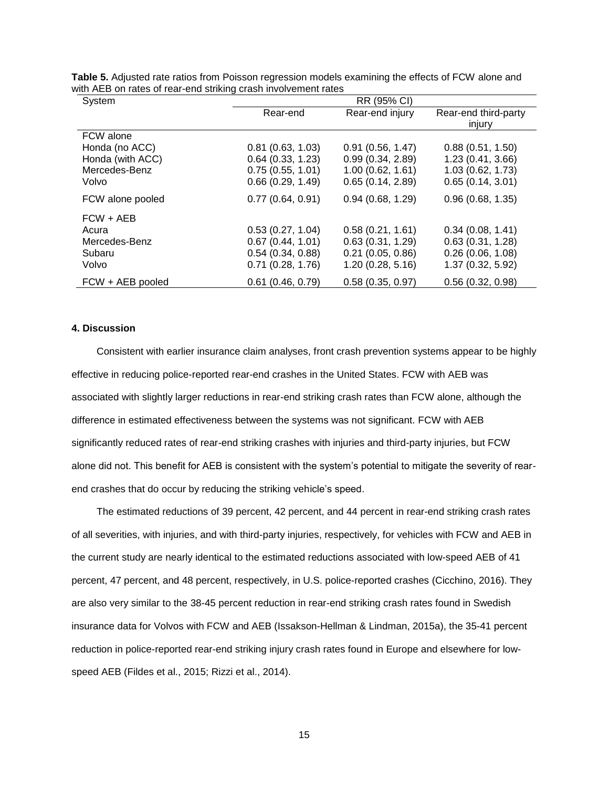| System           | RR (95% CI)         |                  |                                |  |  |  |
|------------------|---------------------|------------------|--------------------------------|--|--|--|
|                  | Rear-end            | Rear-end injury  | Rear-end third-party<br>injury |  |  |  |
| FCW alone        |                     |                  |                                |  |  |  |
| Honda (no ACC)   | 0.81(0.63, 1.03)    | 0.91(0.56, 1.47) | 0.88(0.51, 1.50)               |  |  |  |
| Honda (with ACC) | 0.64(0.33, 1.23)    | 0.99(0.34, 2.89) | 1.23(0.41, 3.66)               |  |  |  |
| Mercedes-Benz    | 0.75(0.55, 1.01)    | 1.00(0.62, 1.61) | 1.03 (0.62, 1.73)              |  |  |  |
| Volvo            | 0.66(0.29, 1.49)    | 0.65(0.14, 2.89) | 0.65(0.14, 3.01)               |  |  |  |
| FCW alone pooled | 0.77(0.64, 0.91)    | 0.94(0.68, 1.29) | 0.96(0.68, 1.35)               |  |  |  |
| $FCW + AEB$      |                     |                  |                                |  |  |  |
| Acura            | 0.53(0.27, 1.04)    | 0.58(0.21, 1.61) | 0.34(0.08, 1.41)               |  |  |  |
| Mercedes-Benz    | 0.67(0.44, 1.01)    | 0.63(0.31, 1.29) | 0.63(0.31, 1.28)               |  |  |  |
| Subaru           | 0.54(0.34, 0.88)    | 0.21(0.05, 0.86) | 0.26(0.06, 1.08)               |  |  |  |
| Volvo            | $0.71$ (0.28, 1.76) | 1.20(0.28, 5.16) | 1.37 (0.32, 5.92)              |  |  |  |
| FCW + AEB pooled | $0.61$ (0.46, 0.79) | 0.58(0.35, 0.97) | 0.56(0.32, 0.98)               |  |  |  |

**Table 5.** Adjusted rate ratios from Poisson regression models examining the effects of FCW alone and with AEB on rates of rear-end striking crash involvement rates

# **4. Discussion**

Consistent with earlier insurance claim analyses, front crash prevention systems appear to be highly effective in reducing police-reported rear-end crashes in the United States. FCW with AEB was associated with slightly larger reductions in rear-end striking crash rates than FCW alone, although the difference in estimated effectiveness between the systems was not significant. FCW with AEB significantly reduced rates of rear-end striking crashes with injuries and third-party injuries, but FCW alone did not. This benefit for AEB is consistent with the system's potential to mitigate the severity of rearend crashes that do occur by reducing the striking vehicle's speed.

The estimated reductions of 39 percent, 42 percent, and 44 percent in rear-end striking crash rates of all severities, with injuries, and with third-party injuries, respectively, for vehicles with FCW and AEB in the current study are nearly identical to the estimated reductions associated with low-speed AEB of 41 percent, 47 percent, and 48 percent, respectively, in U.S. police-reported crashes (Cicchino, 2016). They are also very similar to the 38-45 percent reduction in rear-end striking crash rates found in Swedish insurance data for Volvos with FCW and AEB (Issakson-Hellman & Lindman, 2015a), the 35-41 percent reduction in police-reported rear-end striking injury crash rates found in Europe and elsewhere for lowspeed AEB (Fildes et al., 2015; Rizzi et al., 2014).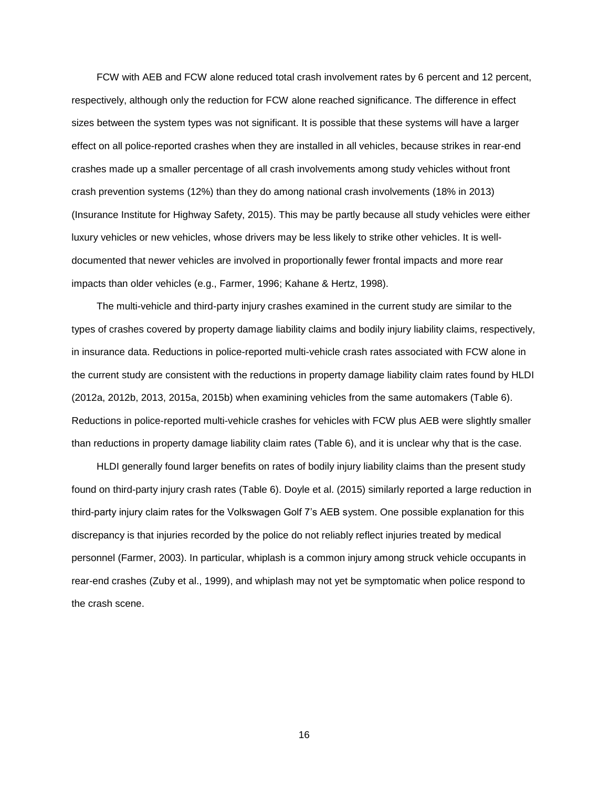FCW with AEB and FCW alone reduced total crash involvement rates by 6 percent and 12 percent, respectively, although only the reduction for FCW alone reached significance. The difference in effect sizes between the system types was not significant. It is possible that these systems will have a larger effect on all police-reported crashes when they are installed in all vehicles, because strikes in rear-end crashes made up a smaller percentage of all crash involvements among study vehicles without front crash prevention systems (12%) than they do among national crash involvements (18% in 2013) (Insurance Institute for Highway Safety, 2015). This may be partly because all study vehicles were either luxury vehicles or new vehicles, whose drivers may be less likely to strike other vehicles. It is welldocumented that newer vehicles are involved in proportionally fewer frontal impacts and more rear impacts than older vehicles (e.g., Farmer, 1996; Kahane & Hertz, 1998).

The multi-vehicle and third-party injury crashes examined in the current study are similar to the types of crashes covered by property damage liability claims and bodily injury liability claims, respectively, in insurance data. Reductions in police-reported multi-vehicle crash rates associated with FCW alone in the current study are consistent with the reductions in property damage liability claim rates found by HLDI (2012a, 2012b, 2013, 2015a, 2015b) when examining vehicles from the same automakers (Table 6). Reductions in police-reported multi-vehicle crashes for vehicles with FCW plus AEB were slightly smaller than reductions in property damage liability claim rates (Table 6), and it is unclear why that is the case.

HLDI generally found larger benefits on rates of bodily injury liability claims than the present study found on third-party injury crash rates (Table 6). Doyle et al. (2015) similarly reported a large reduction in third-party injury claim rates for the Volkswagen Golf 7's AEB system. One possible explanation for this discrepancy is that injuries recorded by the police do not reliably reflect injuries treated by medical personnel (Farmer, 2003). In particular, whiplash is a common injury among struck vehicle occupants in rear-end crashes (Zuby et al., 1999), and whiplash may not yet be symptomatic when police respond to the crash scene.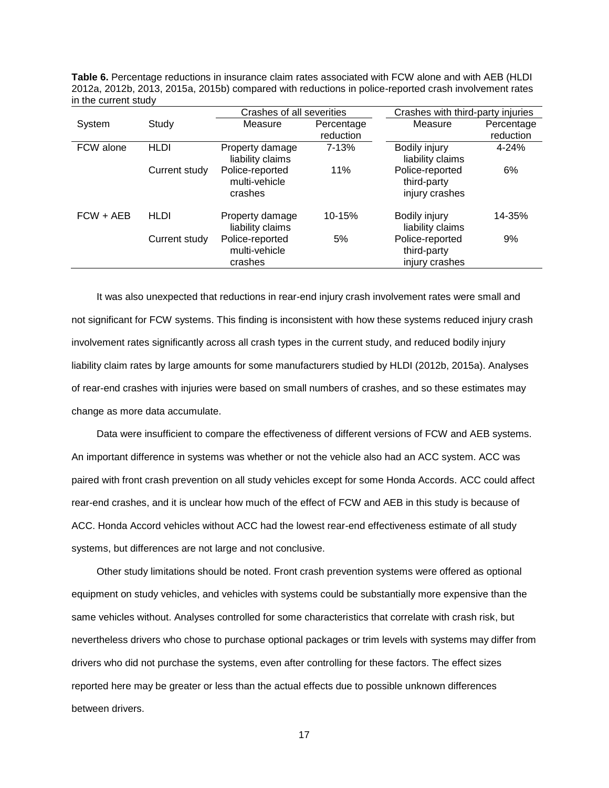**Table 6.** Percentage reductions in insurance claim rates associated with FCW alone and with AEB (HLDI 2012a, 2012b, 2013, 2015a, 2015b) compared with reductions in police-reported crash involvement rates in the current study

|             |               | Crashes of all severities                   |            | Crashes with third-party injuries                |            |
|-------------|---------------|---------------------------------------------|------------|--------------------------------------------------|------------|
| System      | Study         | Measure                                     | Percentage | Measure                                          | Percentage |
|             |               |                                             | reduction  |                                                  | reduction  |
| FCW alone   | <b>HLDI</b>   | Property damage<br>liability claims         | $7 - 13%$  | Bodily injury<br>liability claims                | $4 - 24%$  |
|             | Current study | Police-reported<br>multi-vehicle<br>crashes | 11%        | Police-reported<br>third-party<br>injury crashes | 6%         |
| $FCW + AEB$ | HLDI          | Property damage<br>liability claims         | 10-15%     | Bodily injury<br>liability claims                | 14-35%     |
|             | Current study | Police-reported<br>multi-vehicle<br>crashes | 5%         | Police-reported<br>third-party<br>injury crashes | 9%         |

It was also unexpected that reductions in rear-end injury crash involvement rates were small and not significant for FCW systems. This finding is inconsistent with how these systems reduced injury crash involvement rates significantly across all crash types in the current study, and reduced bodily injury liability claim rates by large amounts for some manufacturers studied by HLDI (2012b, 2015a). Analyses of rear-end crashes with injuries were based on small numbers of crashes, and so these estimates may change as more data accumulate.

Data were insufficient to compare the effectiveness of different versions of FCW and AEB systems. An important difference in systems was whether or not the vehicle also had an ACC system. ACC was paired with front crash prevention on all study vehicles except for some Honda Accords. ACC could affect rear-end crashes, and it is unclear how much of the effect of FCW and AEB in this study is because of ACC. Honda Accord vehicles without ACC had the lowest rear-end effectiveness estimate of all study systems, but differences are not large and not conclusive.

Other study limitations should be noted. Front crash prevention systems were offered as optional equipment on study vehicles, and vehicles with systems could be substantially more expensive than the same vehicles without. Analyses controlled for some characteristics that correlate with crash risk, but nevertheless drivers who chose to purchase optional packages or trim levels with systems may differ from drivers who did not purchase the systems, even after controlling for these factors. The effect sizes reported here may be greater or less than the actual effects due to possible unknown differences between drivers.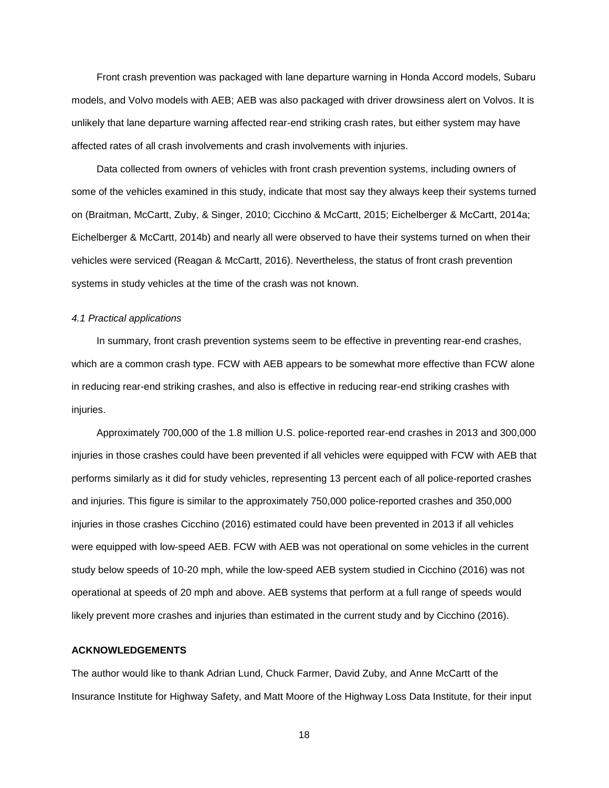Front crash prevention was packaged with lane departure warning in Honda Accord models, Subaru models, and Volvo models with AEB; AEB was also packaged with driver drowsiness alert on Volvos. It is unlikely that lane departure warning affected rear-end striking crash rates, but either system may have affected rates of all crash involvements and crash involvements with injuries.

Data collected from owners of vehicles with front crash prevention systems, including owners of some of the vehicles examined in this study, indicate that most say they always keep their systems turned on (Braitman, McCartt, Zuby, & Singer, 2010; Cicchino & McCartt, 2015; Eichelberger & McCartt, 2014a; Eichelberger & McCartt, 2014b) and nearly all were observed to have their systems turned on when their vehicles were serviced (Reagan & McCartt, 2016). Nevertheless, the status of front crash prevention systems in study vehicles at the time of the crash was not known.

### *4.1 Practical applications*

In summary, front crash prevention systems seem to be effective in preventing rear-end crashes, which are a common crash type. FCW with AEB appears to be somewhat more effective than FCW alone in reducing rear-end striking crashes, and also is effective in reducing rear-end striking crashes with injuries.

Approximately 700,000 of the 1.8 million U.S. police-reported rear-end crashes in 2013 and 300,000 injuries in those crashes could have been prevented if all vehicles were equipped with FCW with AEB that performs similarly as it did for study vehicles, representing 13 percent each of all police-reported crashes and injuries. This figure is similar to the approximately 750,000 police-reported crashes and 350,000 injuries in those crashes Cicchino (2016) estimated could have been prevented in 2013 if all vehicles were equipped with low-speed AEB. FCW with AEB was not operational on some vehicles in the current study below speeds of 10-20 mph, while the low-speed AEB system studied in Cicchino (2016) was not operational at speeds of 20 mph and above. AEB systems that perform at a full range of speeds would likely prevent more crashes and injuries than estimated in the current study and by Cicchino (2016).

#### **ACKNOWLEDGEMENTS**

The author would like to thank Adrian Lund, Chuck Farmer, David Zuby, and Anne McCartt of the Insurance Institute for Highway Safety, and Matt Moore of the Highway Loss Data Institute, for their input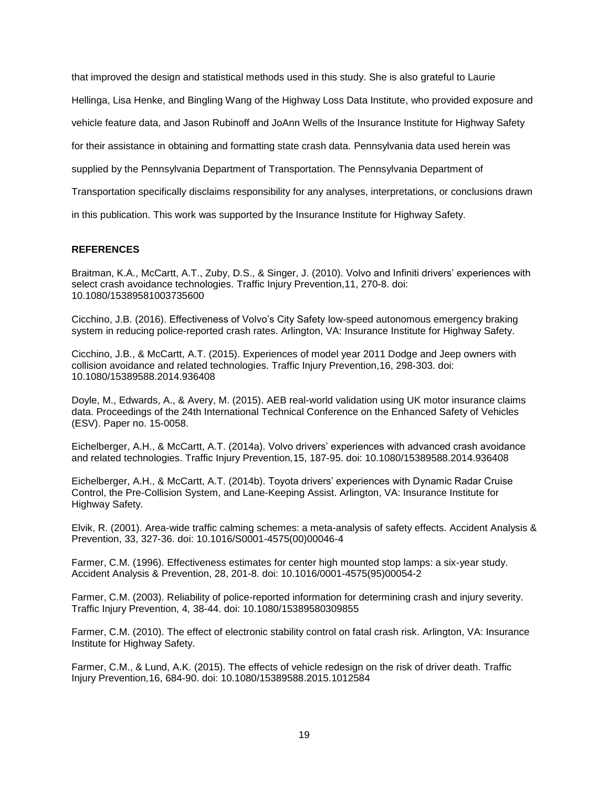that improved the design and statistical methods used in this study. She is also grateful to Laurie

Hellinga, Lisa Henke, and Bingling Wang of the Highway Loss Data Institute, who provided exposure and

vehicle feature data, and Jason Rubinoff and JoAnn Wells of the Insurance Institute for Highway Safety

for their assistance in obtaining and formatting state crash data. Pennsylvania data used herein was

supplied by the Pennsylvania Department of Transportation. The Pennsylvania Department of

Transportation specifically disclaims responsibility for any analyses, interpretations, or conclusions drawn

in this publication. This work was supported by the Insurance Institute for Highway Safety.

# **REFERENCES**

Braitman, K.A., McCartt, A.T., Zuby, D.S., & Singer, J. (2010). Volvo and Infiniti drivers' experiences with select crash avoidance technologies. Traffic Injury Prevention,11, 270-8. doi: 10.1080/15389581003735600

Cicchino, J.B. (2016). Effectiveness of Volvo's City Safety low-speed autonomous emergency braking system in reducing police-reported crash rates. Arlington, VA: Insurance Institute for Highway Safety.

Cicchino, J.B., & McCartt, A.T. (2015). Experiences of model year 2011 Dodge and Jeep owners with collision avoidance and related technologies. Traffic Injury Prevention,16, 298-303. doi: 10.1080/15389588.2014.936408

Doyle, M., Edwards, A., & Avery, M. (2015). AEB real-world validation using UK motor insurance claims data. Proceedings of the 24th International Technical Conference on the Enhanced Safety of Vehicles (ESV). Paper no. 15-0058.

Eichelberger, A.H., & McCartt, A.T. (2014a). Volvo drivers' experiences with advanced crash avoidance and related technologies. Traffic Injury Prevention*,*15, 187-95. doi: 10.1080/15389588.2014.936408

Eichelberger, A.H., & McCartt, A.T. (2014b). Toyota drivers' experiences with Dynamic Radar Cruise Control, the Pre-Collision System, and Lane-Keeping Assist. Arlington, VA: Insurance Institute for Highway Safety.

Elvik, R. (2001). Area-wide traffic calming schemes: a meta-analysis of safety effects. Accident Analysis & Prevention, 33, 327-36. doi: 10.1016/S0001-4575(00)00046-4

Farmer, C.M. (1996). Effectiveness estimates for center high mounted stop lamps: a six-year study. Accident Analysis & Prevention, 28, 201-8. doi: 10.1016/0001-4575(95)00054-2

Farmer, C.M. (2003). Reliability of police-reported information for determining crash and injury severity. Traffic Injury Prevention, 4*,* 38-44. doi: 10.1080/15389580309855

Farmer, C.M. (2010). The effect of electronic stability control on fatal crash risk. Arlington, VA: Insurance Institute for Highway Safety.

Farmer, C.M., & Lund, A.K. (2015). The effects of vehicle redesign on the risk of driver death. Traffic Injury Prevention*,*16, 684-90. doi: 10.1080/15389588.2015.1012584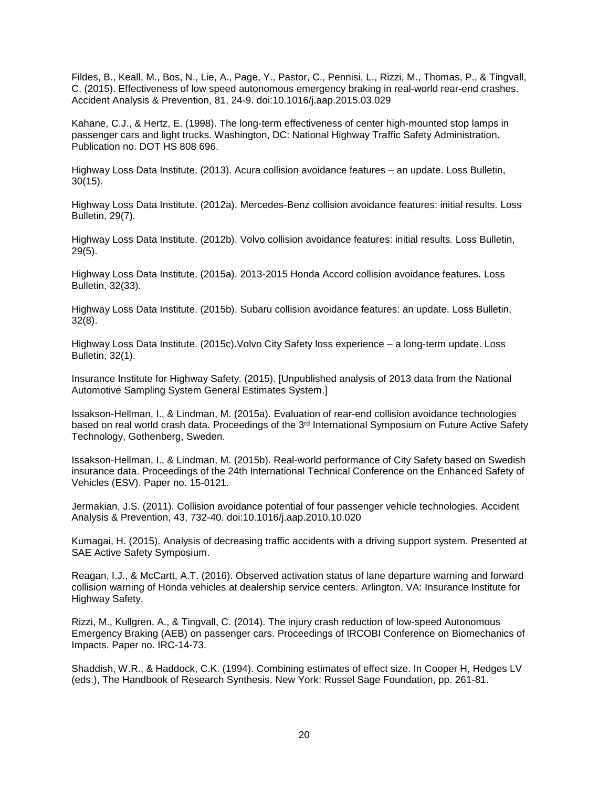Fildes, B., Keall, M., Bos, N., Lie, A., Page, Y., Pastor, C., Pennisi, L., Rizzi, M., Thomas, P., & Tingvall, C. (2015). Effectiveness of low speed autonomous emergency braking in real-world rear-end crashes. Accident Analysis & Prevention, 81, 24-9. doi:10.1016/j.aap.2015.03.029

Kahane, C.J., & Hertz, E. (1998). The long-term effectiveness of center high-mounted stop lamps in passenger cars and light trucks. Washington, DC: National Highway Traffic Safety Administration. Publication no. DOT HS 808 696.

Highway Loss Data Institute. (2013). Acura collision avoidance features – an update. Loss Bulletin, 30(15).

Highway Loss Data Institute. (2012a). Mercedes-Benz collision avoidance features: initial results. Loss Bulletin, 29(7)*.* 

Highway Loss Data Institute. (2012b). Volvo collision avoidance features: initial results*.* Loss Bulletin, 29(5).

Highway Loss Data Institute. (2015a). 2013-2015 Honda Accord collision avoidance features. Loss Bulletin, 32(33).

Highway Loss Data Institute. (2015b). Subaru collision avoidance features: an update. Loss Bulletin, 32(8).

Highway Loss Data Institute. (2015c).Volvo City Safety loss experience – a long-term update. Loss Bulletin, 32(1).

Insurance Institute for Highway Safety. (2015). [Unpublished analysis of 2013 data from the National Automotive Sampling System General Estimates System.]

Issakson-Hellman, I., & Lindman, M. (2015a). Evaluation of rear-end collision avoidance technologies based on real world crash data. Proceedings of the 3rd International Symposium on Future Active Safety Technology, Gothenberg, Sweden.

Issakson-Hellman, I., & Lindman, M. (2015b). Real-world performance of City Safety based on Swedish insurance data. Proceedings of the 24th International Technical Conference on the Enhanced Safety of Vehicles (ESV). Paper no. 15-0121.

Jermakian, J.S. (2011). Collision avoidance potential of four passenger vehicle technologies. Accident Analysis & Prevention, 43, 732-40. doi:10.1016/j.aap.2010.10.020

Kumagai, H. (2015). Analysis of decreasing traffic accidents with a driving support system. Presented at SAE Active Safety Symposium.

Reagan, I.J., & McCartt, A.T. (2016). Observed activation status of lane departure warning and forward collision warning of Honda vehicles at dealership service centers. Arlington, VA: Insurance Institute for Highway Safety.

Rizzi, M., Kullgren, A., & Tingvall, C. (2014). The injury crash reduction of low-speed Autonomous Emergency Braking (AEB) on passenger cars. Proceedings of IRCOBI Conference on Biomechanics of Impacts. Paper no. IRC-14-73.

Shaddish, W.R., & Haddock, C.K. (1994). Combining estimates of effect size. In Cooper H, Hedges LV (eds.), The Handbook of Research Synthesis. New York: Russel Sage Foundation, pp. 261-81.